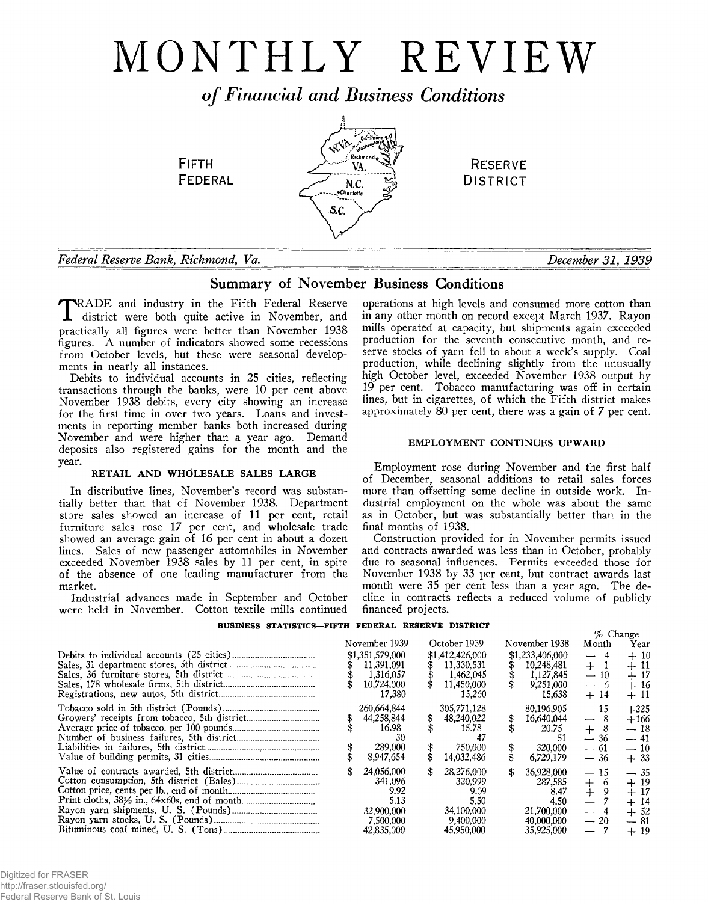# MONTHLY REVIEW

*o f Financial and Business Conditions*



# *Federal Reserve Bank***,** *Richmond***,** *Va. December 31, 1939*

# Summary of November Business Conditions

**T**RADE and industry in the Fifth Federal Reserve<br>district were both quite active in November, and TRADE and industry in the Fifth Federal Reserve practically all figures were better than November 1938 figures. A number of indicators showed some recessions from October levels, but these were seasonal developments in nearly all instances.

Debits to individual accounts in 25 cities, reflecting transactions through the banks, were 10 per cent above November 1938 debits, every city showing an increase for the first time in over two years. Loans and investments in reporting member banks both increased during November and were higher than a year ago. Demand deposits also registered gains for the month and the year.

# RETAIL AND WHOLESALE SALES LARGE

In distributive lines, November's record was substantially better than that of November 1938. Department store sales showed an increase of 11 per cent, retail furniture sales rose 17 per cent, and wholesale trade showed an average gain of 16 per cent in about a dozen lines. Sales of new passenger automobiles in November exceeded November 1938 sales by 11 per cent, in spite of the absence of one leading manufacturer from the market.

Industrial advances made in September and October were held in November. Cotton textile mills continued

operations at high levels and consumed more cotton than in any other month on record except March 1937. Rayon mills operated at capacity, but shipments again exceeded production for the seventh consecutive month, and reserve stocks of yarn fell to about a week's supply. Coal production, while declining slightly from the unusually high October level, exceeded November 1938 output by 19 per cent. Tobacco manufacturing was off in certain lines, but in cigarettes, of which the Fifth district makes approximately 80 per cent, there was a gain of 7 per cent.

# EMPLOYMENT CONTINUES UPWARD

Employment rose during November and the first half of December, seasonal additions to retail sales forces more than offsetting some decline in outside work. Industrial employment on the whole was about the same as in October, but was substantially better than in the final months of 1938.

Construction provided for in November permits issued and contracts awarded was less than in October, probably due to seasonal influences. Permits exceeded those for November 1938 by 33 per cent, but contract awards last month were 35 per cent less than a year ago. The decline in contracts reflects a reduced volume of publicly financed projects.

# **BUSINESS STATISTICS— FIFTH FEDERAL RESERVE DISTRICT**

|  |                                                                                |          |                                                                                |                                                                                       | $%$ Change                                                                                                                            |                                                             |
|--|--------------------------------------------------------------------------------|----------|--------------------------------------------------------------------------------|---------------------------------------------------------------------------------------|---------------------------------------------------------------------------------------------------------------------------------------|-------------------------------------------------------------|
|  | November 1939                                                                  |          | October 1939                                                                   | November 1938                                                                         | Month                                                                                                                                 | Year                                                        |
|  | \$1,351,579,000<br>11.391.091<br>1,316,057<br>10,724,000<br>17,380             |          | \$1,412,426,000<br>11.330.531<br>1,462,045<br>11,450,000<br>15,260             | \$1,233,406,000<br>10,248,481<br>1,127,845<br>9,251,000<br>15,638                     | 4<br>$\overline{\phantom{0}}$<br>$+$<br>$-10$<br>- 6<br>$\sim$<br>$+14$                                                               | $+10$<br>$+11$<br>$+17$<br>$+16$<br>$+11$                   |
|  | 260,664,844<br>44,258,844<br>16.98<br>-30<br>289,000<br>8,947,654              | \$<br>\$ | 305,771,128<br>48,240,022<br>15.78<br>750,000<br>14,032,486                    | \$<br>80.196.905<br>16,640,044<br>20.75<br>51<br>320,000<br>6.729.179                 | 15<br>8<br>$\overline{\phantom{0}}$<br>8<br>$+$<br>$-36$<br>— 61<br>$-36$                                                             | $+225$<br>$+166$<br>$-18$<br>— 41<br>$-10$<br>$+33$         |
|  | 24,056,000<br>341.096<br>9.92<br>5.13<br>32,900,000<br>7.500,000<br>42,835,000 | \$       | 28,276,000<br>320,999<br>9.09<br>5.50<br>34,100,000<br>9,400,000<br>45,950,000 | \$<br>36,928,000<br>287,585<br>8.47<br>4.50<br>21,700,000<br>40,000,000<br>35,925,000 | $-15$<br>$^{+}$<br>6<br>9<br>$^{+}$<br>$\overline{\phantom{0}}$<br>$\overbrace{\phantom{aaaaa}}$<br>$-20$<br>$\overline{\phantom{0}}$ | $-35$<br>$+19$<br>$+17$<br>$+14$<br>$+52$<br>$-81$<br>$+19$ |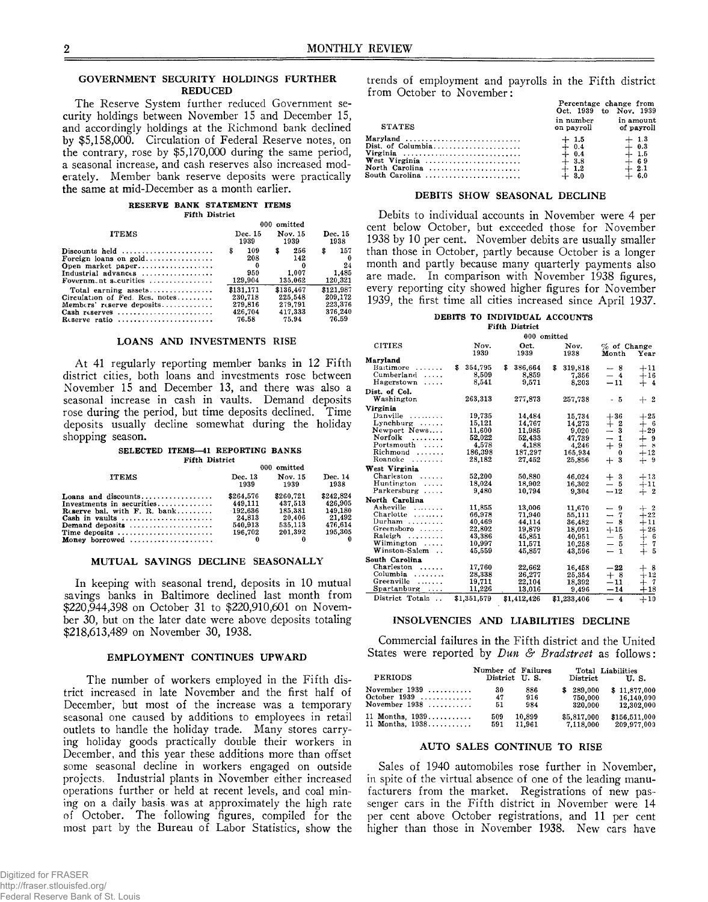# **GOVERNMENT SECURITY HOLDINGS FURTHER REDUCED**

**The Reserve System further reduced Government security holdings between November 15 and December 15, and accordingly holdings at the Richmond bank declined by \$5,158,000. Circulation of Federal Reserve notes, on the contrary, rose by \$5,170,000 during the same period, a seasonal increase, and cash reserves also increased moderately. Member bank reserve deposits were practically the same at mid-December as a month earlier.**

#### **RESERVE BANK STATEMENT ITEMS Fifth District**

|                                                                                                                                                                       | 000 omitted                             |                                      |                                    |  |  |
|-----------------------------------------------------------------------------------------------------------------------------------------------------------------------|-----------------------------------------|--------------------------------------|------------------------------------|--|--|
| <b>ITEMS</b>                                                                                                                                                          | Dec. 15                                 | Nov. 15                              | Dec. 15                            |  |  |
|                                                                                                                                                                       | 1939                                    | 1939                                 | 1938                               |  |  |
| Discounts held $\ldots, \ldots, \ldots, \ldots, \ldots$<br>Open market paper<br>Industrial advances $\ldots \ldots \ldots \ldots$<br>Fovernm.nt sccurities $\ldots$ , | \$<br>109<br>208<br>0<br>950<br>129,904 | 256<br>\$<br>142<br>1.007<br>135,062 | 157<br>s<br>24<br>1.485<br>120,321 |  |  |
| Total earning assets                                                                                                                                                  | \$131,171                               | \$136,467                            | \$121.987                          |  |  |
| Circulation of Fed. Res. notes                                                                                                                                        | 230.718                                 | 225,548                              | 209.172                            |  |  |
| Members' reserve deposits                                                                                                                                             | 279.816                                 | 279.791                              | 223.376                            |  |  |
| Cash reserves                                                                                                                                                         | 426,704                                 | 417,333                              | 376,240                            |  |  |
| Reserve ratio                                                                                                                                                         | 76.58                                   | 75.94                                | 76.59                              |  |  |

# **LOANS AND INVESTMENTS RISE**

**At 41 regularly reporting member banks in 12 Fifth district cities, both loans and investments rose between November 15 and December 13, and there was also a seasonal increase in cash in vaults. Demand deposits rose during the period, but time deposits declined. Time deposits usually decline somewhat during the holiday shopping season.**

#### **SELECTED ITEMS—41 REPORTING BANKS**

| <b>Fifth District</b>                                 |                 |                 |                 |  |
|-------------------------------------------------------|-----------------|-----------------|-----------------|--|
|                                                       | 000 omitted     |                 |                 |  |
| <b>ITEMS</b>                                          | Dec. 13<br>1939 | Nov. 15<br>1939 | Dec. 14<br>1938 |  |
| Loans and discounts                                   | \$264.576       | \$260.721       | \$242.824       |  |
| Investments in securities                             | 449.111         | 437.513         | 426.905         |  |
| Reserve bal. with $F. R. bank$                        | $-192.636$      | 185.381         | 149.180         |  |
|                                                       | 24,813          | 20.406          | 21.492          |  |
| Demand deposits $\dots\dots\dots\dots\dots\dots\dots$ | 540,913         | 535.113         | 476.614         |  |
| Time deposits                                         | 196,702         | 201.392         | 195,305         |  |
| Money borrowed                                        |                 |                 |                 |  |

#### **MUTUAL SAVINGS DECLINE SEASONALLY**

**In keeping with seasonal trend, deposits in 10 mutual savings banks in Baltimore declined last month from \$220,944,398 on October 31 to \$220,910,601 on November 30, but on the later date were above deposits totaling \$218,613,489 on November 30, 1938.**

# **EMPLOYMENT CONTINUES UPWARD**

**The number of workers employed in the Fifth district increased in late November and the first half of December, but most of the increase was a temporary seasonal one caused by additions to employees in retail outlets to handle the holiday trade. Many stores carrying holiday goods practically double their workers in December, and this year these additions more than offset some seasonal decline in workers engaged on outside projects. Industrial plants in November either increased operations further or held at recent levels, and coal mining on a daily basis was at approximately the high rate of October. The following figures, compiled for the most part by the Bureau of Labor Statistics, show the** trends of employment and payrolls in the Fifth district from October to November:

**Percentage change from**

| <b>STATES</b>                                                             | Oct. 1939 to Nov. 1939<br>in number<br>on payroll          | in amount<br>of payroll                                                              |
|---------------------------------------------------------------------------|------------------------------------------------------------|--------------------------------------------------------------------------------------|
| Maryland<br>Virginia<br>West Virginia<br>North Carolina<br>South Carolina | $+1.5$<br>$+ 0.4$<br>$+ 0.4$<br>$+3.8$<br>$+1.2$<br>$+3.0$ | $+1.3$<br>$+ 0.3$<br>$+ 1.5$<br>$\frac{1}{4}$ $\frac{6}{2}$ $\frac{9}{2}$<br>$+ 6.0$ |

### DEBITS SHOW SEASONAL DECLINE

Debits to individual accounts in November were 4 per cent below October, but exceeded those for November 1938 by 10 per cent. November debits are usually smaller than those in October, partly because October is a longer month and partly because many quarterly payments also are made. In comparison with November 1938 figures, every reporting city showed higher figures for November 1939, the first time all cities increased since April 1937.

# **DEBITS TO INDIVIDUAL ACCOUNTS**

**Fifth District**

|                            |              |               | 000 omitted  |                                          |                |
|----------------------------|--------------|---------------|--------------|------------------------------------------|----------------|
| <b>CITIES</b>              | Nov.<br>1939 | Oct.<br>1939  | Nov.<br>1938 | $%$ of Change<br>Month                   | Year           |
| Marvland                   |              |               |              |                                          |                |
| Baitimore<br>.             | 354,795<br>S | \$<br>386,664 | s<br>319.818 | - 8                                      | $+11$          |
| Cumberland<br>.            | 8,509        | 8.859         | 7,356        | $-4$                                     | $+16$          |
| Hagerstown<br>$\ldots$ .   | 8.541        | 9,571         | 8.203        | $-11$                                    | $+4$           |
| Dist. of Col.              |              |               |              |                                          |                |
| Washington                 | 263,313      | 277.873       | 257,738      | - 5                                      | $+2$           |
| Virginia                   |              |               |              |                                          |                |
| Danville $\dots\dots\dots$ | 19,735       | 14,484        | 15,734       | $+36$                                    | $+25$          |
| $Lynchburg \ldots$ .       | 15,121       | 14,767        | 14,273       | $+$<br>- 2                               | - 6<br>$^{+}$  |
| Newport News               | 11.600       | 11.985        | 9,020        | $-3$                                     | $+29$          |
| Norfolk<br>.               | 52.022       | 52,433        | 47,739       | 1<br>$\overline{\phantom{0}}$            | $+$ 9          |
| Portsmouth<br>1.1.1.1      | 4,578        | 4,188         | 4,246        | $^{+}$<br>9                              | -8<br>$^{+}$   |
| Richmond<br>.              | 186,398      | 187.297       | 165,934      | 0                                        | $+12$          |
| Roanoke<br>.               | 28,182       | 27.452        | 25.856       | 3<br>┿                                   | -9<br>$+$      |
| West Virginia              |              |               |              |                                          |                |
| Charleston<br>1.1.1.1.1    | 52,200       | 50,880        | 46.024       | $^{+}$<br>-3                             | $+13$          |
| Huntington<br>.            | 18,024       | 18,902        | 16.302       | 5<br>$\overline{\phantom{0}}$            | $+11$          |
| Parkersburg                | 9.480        | 10.794        | 9.304        | $-12$                                    | $+2$           |
| North Carolina             |              |               |              |                                          |                |
| Asheville                  | 11,855       | 13,006        | 11,670       | -9<br>$\overbrace{\phantom{1232211}}$    | -1-2           |
| Charlotte                  | 66,978       | 71.940        | 55,111       | $\rightarrow$<br>7                       | $+22$          |
| Durham                     | 40,469       | 44,114        | 36.482       | $\overline{\phantom{0}}$<br>8            | $+11$          |
| Greensboro                 | 22.802       | 19,879        | 18.091       | $+15$                                    | $+26$          |
| Raleigh                    | 43,386       | 45,851        | 40.951       | — 5                                      | - 6<br>┿       |
| Wilmington $\ldots$ .      | 10.997       | 11.571        | 10,258       | -5<br>$\overline{\phantom{0}}$           | 7<br>$^{+}$    |
| Winston-Salem<br>$\sim$    | 45,559       | 45,857        | 43,596       | $\overline{\phantom{0}}$<br>$\mathbf{1}$ | - 5<br>$+$     |
| South Carolina             |              |               |              |                                          |                |
| Charleston<br>.            | 17.760       | 22,662        | 16.458       | $-22$                                    | $+$ 8          |
| Columbia<br>.              | 28,338       | 26,277        | 25,354       | $+8$                                     | $+12$          |
| Greenville<br>.            | 19,711       | 22,104        | 18,392       | $^{\mathrm{-11}}$                        | $\tau$<br>$^+$ |
| Spartanburg<br>.           | 11,226       | 13,016        | 9.496        | $-14$                                    | $+18$          |
| District Totals            | \$1,351,579  | \$1,412,426   | \$1,233,406  | $-4$                                     | $+10$          |
|                            |              |               |              |                                          |                |

# INSOLVENCIES AND LIABILITIES DECLINE

Commercial failures in the Fifth district and the United States were reported by *Dun & Bradstreet* as follows:

| <b>PERIODS</b>                    | Number of Failures |        |                | Total Liabilities |
|-----------------------------------|--------------------|--------|----------------|-------------------|
|                                   | District U.S.      |        | $\bf District$ | U.S.              |
| November $1939$                   | 30                 | 886    | \$289,000      | \$11,877,000      |
| October $1939$                    | 47                 | 916    | 750.000        | 16,140,000        |
| November $1938$                   | 51                 | 984    | 320.000        | 12,302,000        |
| 11 Months, $1939, \ldots, \ldots$ | 509                | 10.899 | \$5,817,000    | \$156,511,000     |
| 11 Months, $1938$                 | 591                | 11.961 | 7.118.000      | 209,977,000       |

# AUTO SALES CONTINUE TO RISE

Sales of 1940 automobiles rose further in November, in spite of the virtual absence of one of the leading manufacturers from the market. Registrations of new passenger cars in the Fifth district in November were 14 per cent above October registrations, and 11 per cent higher than those in November 1938. New cars have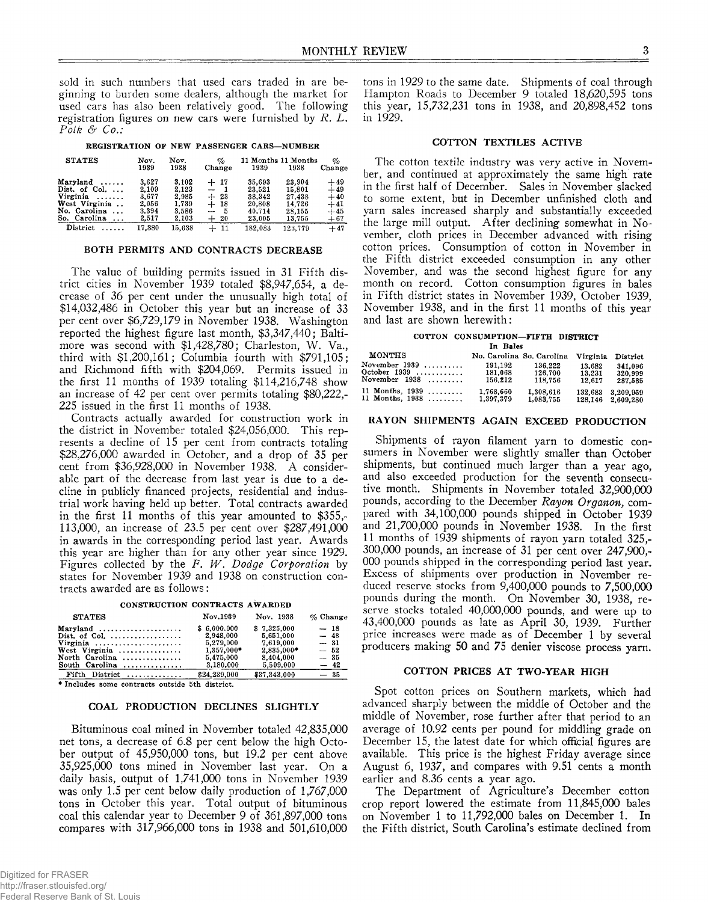sold in such numbers that used cars traded in are beginning to burden some dealers, although the market for used cars has also been relatively good. The following registration figures on new cars were furnished by *R. L. Polk & Co.:*

# **REGISTRATION OF NEW PASSENGER CARS— NUMBER**

| <b>STATES</b>             | Nov.<br>1939 | Nov.<br>1938 | op,<br>Change                   | 1939    | 11 Months 11 Months<br>1938 | %<br>Change |
|---------------------------|--------------|--------------|---------------------------------|---------|-----------------------------|-------------|
| $Maryland \ldots$ .       | 3.627        | 3.102        | $+17$                           | 35.693  | 23.904                      | $+49$       |
| Dist. of Col. $\ldots$    | 2.109        | 2.123        | $-$                             | 23,521  | 15.801                      | $+49$       |
| Virginia<br>.             | 3.677        | 2,985        | $+ 23$                          | 38.342  | 27,438                      | $+40$       |
| West Virginia             | 2.056        | 1.739        | $+18$                           | 20,808  | 14.726                      | $+41$       |
| No. Carolina<br>$\ddotsc$ | 3.394        | 3.586        | - 5<br>$\overline{\phantom{a}}$ | 40.714  | 28.155                      | $+45$       |
| So. Carolina<br>$\cdots$  | 2,517        | 2,103        | $+20$                           | 23,005  | 13,755                      | $+67$       |
| District<br>.             | 17.380       | 15.638       | $+11$                           | 182,083 | 123,779                     | $+47$       |

# BOTH PERMITS AND CONTRACTS DECREASE

The value of building permits issued in 31 Fifth district cities in November 1939 totaled \$8,947,654, a decrease of 36 per cent under the unusually high total of \$14,032,486 in October this year but an increase of 33 per cent over \$6,729,179 in November 1938. Washington reported the highest figure last month, \$3,347,440; Baltimore was second with \$1,428,780; Charleston, W. Va., third with \$1,200,161; Columbia fourth with \$791,105; and Richmond fifth with \$204,069. Permits issued in the first 11 months of 1939 totaling \$114,216,748 show an increase of 42 per cent over permits totaling \$80,222,- 225 issued in the first 11 months of 1938.

Contracts actually awarded for construction work in the district in November totaled \$24,056,000. This represents a decline of 15 per cent from contracts totaling \$28,276,000 awarded in October, and a drop of 35 per cent from \$36,928,000 in November 1938. A considerable part of the decrease from last year is due to a decline in publicly financed projects, residential and industrial work having held up better. Total contracts awarded in the first 11 months of this year amounted to \$355,- 113,000, an increase of 23.5 per cent over \$287,491,000 in awards in the corresponding period last year. Awards this year are higher than for any other year since 1929. Figures collected by the *F. W . Dodge Corporation* by states for November 1939 and 1938 on construction contracts awarded are as follows:

# **CONSTRUCTION CONTRACTS AWARDED**

| <b>STATES</b>                                  | Nov.1939     | Nov. 1938    | $\%$ Change |
|------------------------------------------------|--------------|--------------|-------------|
| Maryland                                       | \$6.000.000  | \$7.325.000  | $-18$       |
| Dist. of Col. $\ldots, \ldots, \ldots, \ldots$ | 2.948.000    | 5.651.000    | $-48$       |
| Virginia                                       | 5,279,000    | 7.619.000    | $-31$       |
| West Virginia                                  | 1.357,000*   | 2.835.000*   | $-52$       |
| North Carolina                                 | 5.475.000    | 8.404.000    | $-35$       |
| South Carolina                                 | 3,180,000    | 5.509.000    | $-42$       |
| Fifth District                                 | \$24,239,000 | \$37,343,000 | $-35$       |

**\* Includes some contracts outside 5th district.**

# COAL PRODUCTION DECLINES SLIGHTLY

Bituminous coal mined in November totaled 42,835,000 net tons, a decrease of 6.8 per cent below the high October output of 45,950,000 tons, but 19.2 per cent above 35,925,000 tons mined in November last year. On a daily basis, output of 1,741,000 tons in November 1939 was only 1.5 per cent below daily production of 1,767,000 tons in October this year. Total output of bituminous coal this calendar year to December 9 of 361,897,000 tons compares with 317,966,000 tons in 1938 and 501,610,000

tons in 1929 to the same date. Shipments of coal through Hampton Roads to December 9 totaled 18,620,595 tons this year, 15,732,231 tons in 1938, and 20,898,452 tons in 1929.

# COTTON TEXTILES ACTIVE

The cotton textile industry was very active in November, and continued at approximately the same high rate in the first half of December. Sales in November slacked to some extent, but in December unfinished cloth and yarn sales increased sharply and substantially exceeded the large mill output. After declining somewhat in November, cloth prices in December advanced with rising cotton prices. Consumption of cotton in November in the Fifth district exceeded consumption in any other November, and was the second highest figure for any month on record. Cotton consumption figures in bales in Fifth district states in November 1939, October 1939, November 1938, and in the first 11 months of this year and last are shown herewith:

# **COTTON CONSUMPTION— FIFTH DISTRICT**

**In Bales**

| <b>MONTHS</b>   | No. Carolina So. Carolina |           |         | Virginia District |
|-----------------|---------------------------|-----------|---------|-------------------|
| November 1939   | 191.192                   | 136,222   | 13.682  | 341.096           |
| October 1939    | 181.068                   | 126.700   | 13.231  | 320.999           |
| November 1938   | 156.212                   | 118,756   | 12.617  | 287.585           |
| 11 Months, 1939 | 1,768,660                 | 1.308.616 | 132.683 | 3,209,959         |
| 11 Months, 1938 | 1,397,379                 | 1,083.755 | 128.146 | 2.609.280         |

# RAYON SHIPMENTS AGAIN EXCEED PRODUCTION

Shipments of rayon filament yarn to domestic consumers in November were slightly smaller than October shipments, but continued much larger than a year ago, and also exceeded production for the seventh consecutive month. Shipments in November totaled 32,900,000 pounds, according to the December *Rayon Organon,* compared with 34,100,000 pounds shipped in October 1939 and 21,700,000 pounds in November 1938. In the first 11 months of 1939 shipments of rayon yarn totaled 325,- 300.000 pounds, an increase of 31 per cent over 247,900,- 000 pounds shipped in the corresponding period last year. Excess of shipments over production in November reduced reserve stocks from 9,400,000 pounds to 7,500,000 pounds during the month. On November 30, 1938, reserve stocks totaled 40,000,000 pounds, and were up to 43.400.000 pounds as late as April 30, 1939. Further price increases were made as of December 1 by several producers making 50 and 75 denier viscose process yarn.

# COTTON PRICES AT TWO-YEAR HIGH

Spot cotton prices on Southern markets, which had advanced sharply between the middle of October and the middle of November, rose further after that period to an average of 10.92 cents per pound for middling grade on December 15, the latest date for which official figures are available. This price is the highest Friday average since August 6, 1937, and compares with 9.51 cents a month earlier and 8.36 cents a year ago.

The Department of Agriculture's December cotton crop report lowered the estimate from 11,845,000 bales on November 1 to 11,792,000 bales on December 1. In the Fifth district, South Carolina's estimate declined from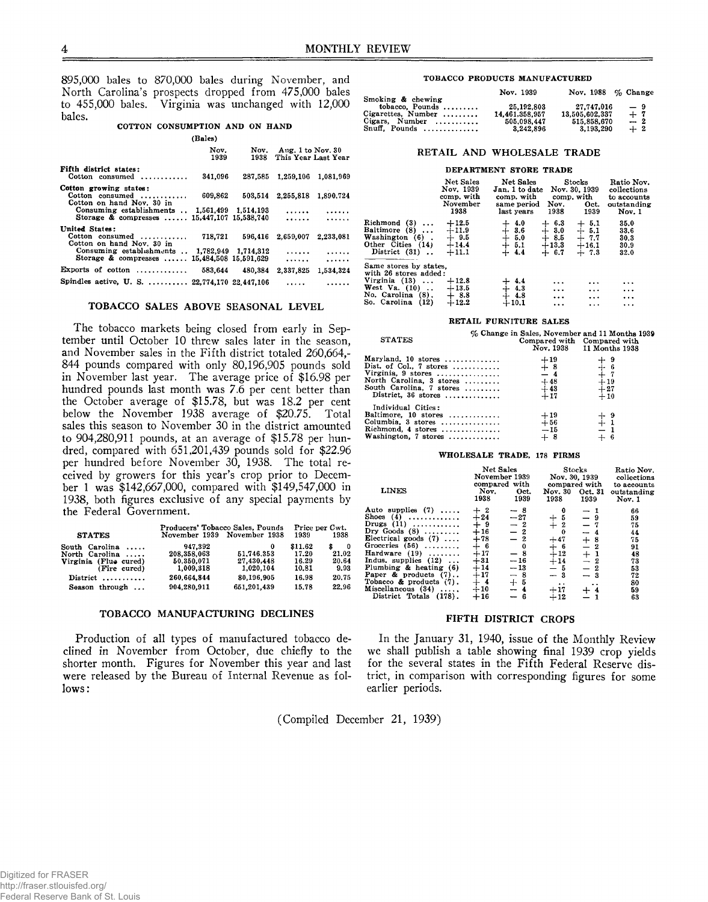895,000 bales to 870,000 bales during November, and North Carolina's prospects dropped from 475,000 bales to 455,000 bales. Virginia was unchanged with 12,000 bales.

# **COTTON CONSUMPTION AND ON HAND**

|                                                                                                                                 | (Bales)      |         |                                               |           |
|---------------------------------------------------------------------------------------------------------------------------------|--------------|---------|-----------------------------------------------|-----------|
|                                                                                                                                 | Nov.<br>1939 | 1938    | Nov. Aug. 1 to Nov. 30<br>This Year Last Year |           |
| Fifth district states:<br>$\text{Cottom}$ consumed                                                                              | 341,096      |         | 287,585 1,259,106 1,081,969                   |           |
| Cotton growing states:<br>Cotton consumed<br>Cotton on hand Nov. 30 in<br>Consuming establishments $\ldots$ 1.561,499 1.514,193 | 609,862      | 503.514 | 2.255.818 1.890.724<br>.                      |           |
| Storage & compresses  15,447,107 15,538,740                                                                                     |              |         | .                                             |           |
| United States:<br>Cotton consumed<br>Cotton on hand Nov. 30 in                                                                  | 718,721      | 596.416 | 2,659,007                                     | 2,233,081 |
| Consuming establishments  1,782,949 1,714,312<br>Storage & compresses  15.484.508 15.591.629                                    |              |         | .<br><b>Address Committee</b>                 | .<br>.    |
| Exports of cotton $\ldots \ldots \ldots \ldots$ 583.644                                                                         |              | 480.384 | 2.337.825                                     | 1.534.324 |
| Spindles active, U.S.  22,774,170 22,447,106                                                                                    |              |         | .                                             |           |

# TOBACCO SALES ABOVE SEASONAL LEVEL

The tobacco markets being closed from early in September until October 10 threw sales later in the season, and November sales in the Fifth district totaled 260,664,- 844 pounds compared with only 80,196,905 pounds sold in November last year. The average price of \$16.98 per hundred pounds last month was 7.6 per cent better than the October average of \$15.78, but was 18.2 per cent below the November 1938 average of \$20.75. Total sales this season to November 30 in the district amounted to 904,280,911 pounds, at an average of \$15.78 per hundred, compared with 651,201,439 pounds sold for \$22.96 per hundred before November 30, 1938. The total received by growers for this year's crop prior to December 1 was \$142,667,000, compared with \$149,547,000 in 1938, both figures exclusive of any special payments by the Federal Government.

| <b>STATES</b>         |             | Producers' Tobacco Sales, Pounds<br>November 1939 November 1938 | 1939    | Price per Cwt.<br>1938 | Drugs $(11)$<br>Dry Goods $(8)$                    | $+9$<br>$+16$  | $-2$<br>$-2$ |
|-----------------------|-------------|-----------------------------------------------------------------|---------|------------------------|----------------------------------------------------|----------------|--------------|
|                       |             |                                                                 |         |                        | Electrical goods $(7)$<br>Groceries $(56)$         | $+78$<br>$+$ 6 | $-2$         |
| South Carolina        | 947.392     |                                                                 | \$11.62 | $\Omega$               |                                                    |                | $\Omega$     |
| North Carolina        | 208.358.063 | 51.746.353                                                      | 17.20   | 21.02                  | Hardware $(19)$                                    | $+17$          | $-8$         |
| Virginia (Flue cured) | 50,350,071  | 27.430.448                                                      | 16.29   | 20.64                  | Indus, supplies $(12)$                             | $+31$          | $-16$        |
| (Fire cured)          | 1.009.318   | 1.020.104                                                       | 10.81   | 9.93                   | Plumbing $\&$ heating $(6)$                        | $+14$          | $-13$        |
| $District$ ,          | 260.664.844 | 80.196.905                                                      | 16.98   | 20.75                  | Paper & products $(7)$                             | $+17$          | $-8$         |
| Season through        | 904.280.911 | 651,201,439                                                     | 15.78   | 22.96                  | Tobacco & products $(7)$ .<br>Miscellaneous $(34)$ | $+$ 4<br>$+10$ | $+5$<br>$-4$ |
|                       |             |                                                                 |         |                        | $\cdots$                                           |                |              |

# TOBACCO MANUFACTURING DECLINES

Production of all types of manufactured tobacco declined in November from October, due chiefly to the shorter month. Figures for November this year and last were released by the Bureau of Internal Revenue as follows :

#### **TOBACCO PRODUCTS MANUFACTURED**

|                                      | Nov. 1939      | Nov. 1988 $\%$ Change |       |
|--------------------------------------|----------------|-----------------------|-------|
| Smoking & chewing                    |                |                       |       |
| tobacco, Pounds $\dots\dots\dots$    | 25.192.803     | 27.747.016            | $-9$  |
| Cigarettes, Number                   | 14.461.358.957 | 13.505.602.337        | $+$ 7 |
| Cigars. Number $\dots\dots\dots$     | 505,098,447    | 515,858,670           | $-2$  |
| Snuff. Pounds $\dots\dots\dots\dots$ | 3.242.896      | 3.193.290             | $+2$  |

# RETAIL AND WHOLESALE TRADE

#### **DEPARTMENT STORE TRADE**

|                                                                                                                                    | <b>Net Sales</b><br>Nov. 1939<br>comp. with<br>November<br>1938 | Net Sales<br>Jan. 1 to date<br>comp. with<br>same period<br>last vears | Nov.<br>1938                                      | Stocks<br>Nov. 30, 1939<br>comp, with<br>Oct.<br>1939 | Ratio Nov.<br>collections<br>to accounts<br>outstanding<br>Nov. 1 |
|------------------------------------------------------------------------------------------------------------------------------------|-----------------------------------------------------------------|------------------------------------------------------------------------|---------------------------------------------------|-------------------------------------------------------|-------------------------------------------------------------------|
| Richmond (3)<br>.<br>Baltimore (8)<br>Washington (6).<br>Other Cities (14)<br>District (31)                                        | $+12.5$<br>$+11.9$<br>$+9.5$<br>$+14.4$<br>$+11.1$              | 4.0<br>$+ 3.6$<br>$+ 5.0$<br>$+ 5.1$<br>$+4.4$                         | 6.3<br>┿<br>3.0<br>∔<br>8.5<br>$+13.3$<br>$+ 6.7$ | $+5.1$<br>$+$ $^{5.1}_{7.7}$<br>$+16.1$<br>$+7.3$     | 35.0<br>33.6<br>30.3<br>30.9<br>32.0                              |
| Same stores by states,<br>with 26 stores added:<br>Virginia $(13)$<br>West Va. $(10)$<br>No. Carolina (8).<br>So. Carolina<br>(12) | $+12.8$<br>$+13.5$<br>$+8.8$<br>$+12.2$                         | -4.4<br>$+4.3$<br>$+4.8$<br>$+10.1$                                    | .<br>$\cdots$<br>$\cdots$<br>.                    | .<br>$\ddotsc$<br><br>$\cdots$                        | $\cdots$<br>$\cdots$<br>$\cdots$<br>$\cdots$                      |

#### **RETAIL FURNITURE SALES**

| <b>STATES</b>                                                                                                                                           |                                                 | $\%$ Change in Sales, November and 11 Months 1939<br>Compared with Compared with<br>Nov. 1938 11 Months 1938 |
|---------------------------------------------------------------------------------------------------------------------------------------------------------|-------------------------------------------------|--------------------------------------------------------------------------------------------------------------|
| Maryland. 10 stores<br>Dist. of Col., 7 stores<br>Virginia, $9$ stores<br>North Carolina, 3 stores<br>South Carolina, 7 stores<br>District, $36$ stores | $+19\n+8\n-4$<br>$\substack{+48 \\ +43 \\ +17}$ |                                                                                                              |
| Individual Cities:<br>Baltimore, 10 stores<br>Columbia, $3$ stores<br>Richmond, $4$ stores<br>Washington, 7 stores                                      | $^{+19}_{+56}$<br>$-15$<br>$+8$                 | $+9$<br>$+1$<br>$-1$                                                                                         |

### WHOLESALE TRADE, 178 FIRMS

| <b>LINES</b>               | Nov.<br>1938 | Net Sales<br>November 1939<br>compared with<br>Oct.<br>1939 | Nov. 30 Oct. 31<br>1938 | $\operatorname{Stocks}$<br>Nov. 30, 1939<br>compared with<br>1939 | Ratio Nov.<br>collections<br>to accounts<br>outstanding<br>Nov. 1 |
|----------------------------|--------------|-------------------------------------------------------------|-------------------------|-------------------------------------------------------------------|-------------------------------------------------------------------|
| Auto supplies $(7)$ ,      | $+2$         |                                                             |                         |                                                                   | 66                                                                |
| Shoes $(4)$                | $+24$        |                                                             | 5                       |                                                                   | 59                                                                |
| Drugs $(11)$               | $+9$         |                                                             | 2                       |                                                                   | 75                                                                |
| Dry Goods $(8)$            | $+16$        |                                                             | 0                       | $-4$                                                              | 44                                                                |
| Electrical goods $(7)$     | $+78$        | $-27$<br>$-2$<br>$-2$<br>$-2$<br>$-2$                       | $+47$                   | $+8$                                                              | 75                                                                |
| Groceries $(56)$           | $+6$         | $\bf{0}$                                                    | - 6                     | $\mathbf{2}$                                                      | 91                                                                |
| Hardware $(19)$            | $+17$        | $-8$                                                        | $+12$                   | $+1$                                                              | 48                                                                |
| Indus, supplies $(12)$ ,   | $+31$        | $-16$                                                       | $+14$                   | $-2$                                                              | 73                                                                |
| Plumbing & heating $(6)$   | $+14$        | $-13$                                                       | - 5                     | $-2$                                                              | 53                                                                |
| Paper & products $(7)$     | $+17$        | $-8$                                                        | $-3$                    |                                                                   | 72                                                                |
| Tobacco & products $(7)$ . | $+$ 4        | $+5$                                                        | $\ddot{\bullet}$        |                                                                   | 80                                                                |
| Miscellaneous $(34)$       | $+10$        | $-4$                                                        | $+17$                   |                                                                   | 59                                                                |
| District Totals (178).     | $+16$        | $-6$                                                        | $+12$                   |                                                                   | 63                                                                |

# FIFTH DISTRICT CROPS

In the January 31, 1940, issue of the Monthly Review we shall publish a table showing final 1939 crop yields for the several states in the Fifth Federal Reserve district, in comparison with corresponding figures for some earlier periods.

(Compiled December 21, 1939)